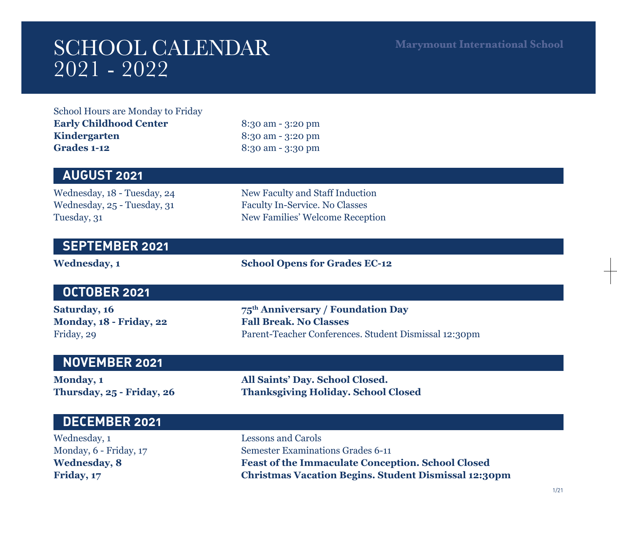# SCHOOL CALENDAR 2021 - 2022

**Marymount International School**

School Hours are Monday to Friday **Early Childhood Center** 8:30 am - 3:20 pm **Kindergarten** 8:30 am - 3:20 pm **Grades 1-12** 8:30 am - 3:30 pm

## **AUGUST 2021**

Wednesday, 18 - Tuesday, 24 New Faculty and Staff Induction Wednesday, 25 - Tuesday, 31 Faculty In-Service. No Classes Tuesday, 31 New Families' Welcome Reception

#### **SEPTEMBER 2021**

Wednesday, 1 School Opens for Grades EC-12

### **OCTOBER 2021**

**Monday, 18 - Friday, 22 Fall Break. No Classes**

**Saturday, 16 75th Anniversary / Foundation Day** Friday, 29 Parent-Teacher Conferences. Student Dismissal 12:30pm

#### **NOVEMBER 2021**

**Monday, 1 All Saints' Day. School Closed. Thursday, 25 - Friday, 26 Thanksgiving Holiday. School Closed**

| DECEMBER 2021          |                                                             |
|------------------------|-------------------------------------------------------------|
| Wednesday, 1           | Lessons and Carols                                          |
| Monday, 6 - Friday, 17 | Semester Examinations Grades 6-11                           |
| <b>Wednesday, 8</b>    | <b>Feast of the Immaculate Conception. School Closed</b>    |
| Friday, 17             | <b>Christmas Vacation Begins. Student Dismissal 12:30pm</b> |